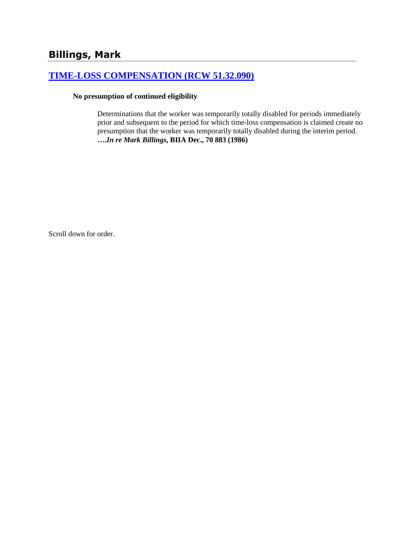# **[TIME-LOSS COMPENSATION \(RCW 51.32.090\)](http://www.biia.wa.gov/SDSubjectIndex.html#TIME_LOSS_COMPENSATION)**

#### **No presumption of continued eligibility**

Determinations that the worker was temporarily totally disabled for periods immediately prior and subsequent to the period for which time-loss compensation is claimed create no presumption that the worker was temporarily totally disabled during the interim period. **….***In re Mark Billings***, BIIA Dec., 70 883 (1986)**

Scroll down for order.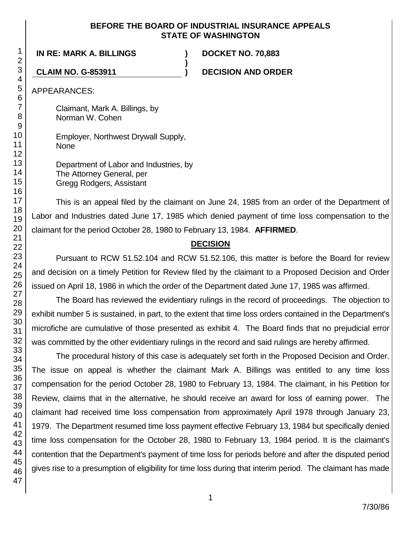#### **BEFORE THE BOARD OF INDUSTRIAL INSURANCE APPEALS STATE OF WASHINGTON**

**)**

**IN RE: MARK A. BILLINGS ) DOCKET NO. 70,883**

**CLAIM NO. G-853911 ) DECISION AND ORDER**

APPEARANCES:

Claimant, Mark A. Billings, by Norman W. Cohen

Employer, Northwest Drywall Supply, None

Department of Labor and Industries, by The Attorney General, per Gregg Rodgers, Assistant

This is an appeal filed by the claimant on June 24, 1985 from an order of the Department of Labor and Industries dated June 17, 1985 which denied payment of time loss compensation to the claimant for the period October 28, 1980 to February 13, 1984. **AFFIRMED**.

## **DECISION**

Pursuant to RCW 51.52.104 and RCW 51.52.106, this matter is before the Board for review and decision on a timely Petition for Review filed by the claimant to a Proposed Decision and Order issued on April 18, 1986 in which the order of the Department dated June 17, 1985 was affirmed.

The Board has reviewed the evidentiary rulings in the record of proceedings. The objection to exhibit number 5 is sustained, in part, to the extent that time loss orders contained in the Department's microfiche are cumulative of those presented as exhibit 4. The Board finds that no prejudicial error was committed by the other evidentiary rulings in the record and said rulings are hereby affirmed.

The procedural history of this case is adequately set forth in the Proposed Decision and Order. The issue on appeal is whether the claimant Mark A. Billings was entitled to any time loss compensation for the period October 28, 1980 to February 13, 1984. The claimant, in his Petition for Review, claims that in the alternative, he should receive an award for loss of earning power. The claimant had received time loss compensation from approximately April 1978 through January 23, 1979. The Department resumed time loss payment effective February 13, 1984 but specifically denied time loss compensation for the October 28, 1980 to February 13, 1984 period. It is the claimant's contention that the Department's payment of time loss for periods before and after the disputed period gives rise to a presumption of eligibility for time loss during that interim period. The claimant has made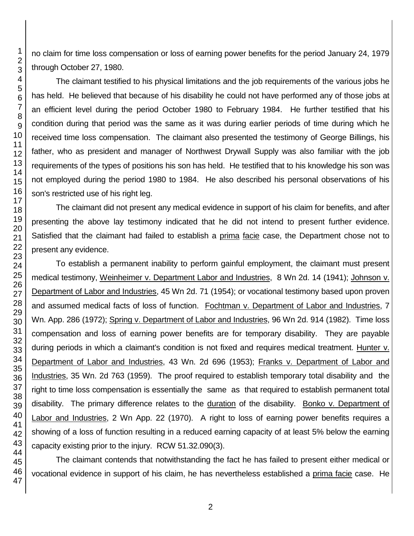no claim for time loss compensation or loss of earning power benefits for the period January 24, 1979 through October 27, 1980.

The claimant testified to his physical limitations and the job requirements of the various jobs he has held. He believed that because of his disability he could not have performed any of those jobs at an efficient level during the period October 1980 to February 1984. He further testified that his condition during that period was the same as it was during earlier periods of time during which he received time loss compensation. The claimant also presented the testimony of George Billings, his father, who as president and manager of Northwest Drywall Supply was also familiar with the job requirements of the types of positions his son has held. He testified that to his knowledge his son was not employed during the period 1980 to 1984. He also described his personal observations of his son's restricted use of his right leg.

The claimant did not present any medical evidence in support of his claim for benefits, and after presenting the above lay testimony indicated that he did not intend to present further evidence. Satisfied that the claimant had failed to establish a prima facie case, the Department chose not to present any evidence.

To establish a permanent inability to perform gainful employment, the claimant must present medical testimony, Weinheimer v. Department Labor and Industries, 8 Wn 2d. 14 (1941); Johnson v. Department of Labor and Industries, 45 Wn 2d. 71 (1954); or vocational testimony based upon proven and assumed medical facts of loss of function. Fochtman v. Department of Labor and Industries, 7 Wn. App. 286 (1972); Spring v. Department of Labor and Industries, 96 Wn 2d. 914 (1982). Time loss compensation and loss of earning power benefits are for temporary disability. They are payable during periods in which a claimant's condition is not fixed and requires medical treatment. Hunter v. Department of Labor and Industries, 43 Wn. 2d 696 (1953); Franks v. Department of Labor and Industries, 35 Wn. 2d 763 (1959). The proof required to establish temporary total disability and the right to time loss compensation is essentially the same as that required to establish permanent total disability. The primary difference relates to the duration of the disability. Bonko v. Department of Labor and Industries, 2 Wn App. 22 (1970). A right to loss of earning power benefits requires a showing of a loss of function resulting in a reduced earning capacity of at least 5% below the earning capacity existing prior to the injury. RCW 51.32.090(3).

The claimant contends that notwithstanding the fact he has failed to present either medical or vocational evidence in support of his claim, he has nevertheless established a prima facie case. He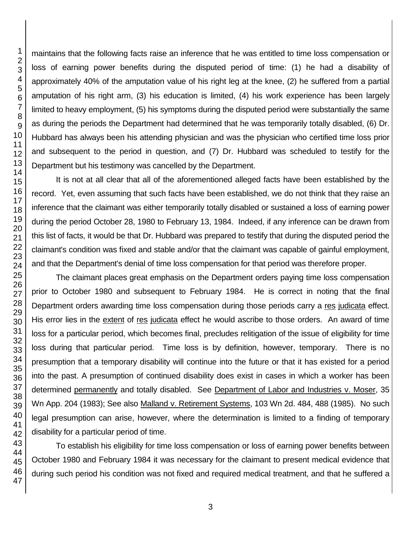maintains that the following facts raise an inference that he was entitled to time loss compensation or loss of earning power benefits during the disputed period of time: (1) he had a disability of approximately 40% of the amputation value of his right leg at the knee, (2) he suffered from a partial amputation of his right arm, (3) his education is limited, (4) his work experience has been largely limited to heavy employment, (5) his symptoms during the disputed period were substantially the same as during the periods the Department had determined that he was temporarily totally disabled, (6) Dr. Hubbard has always been his attending physician and was the physician who certified time loss prior and subsequent to the period in question, and (7) Dr. Hubbard was scheduled to testify for the Department but his testimony was cancelled by the Department.

It is not at all clear that all of the aforementioned alleged facts have been established by the record. Yet, even assuming that such facts have been established, we do not think that they raise an inference that the claimant was either temporarily totally disabled or sustained a loss of earning power during the period October 28, 1980 to February 13, 1984. Indeed, if any inference can be drawn from this list of facts, it would be that Dr. Hubbard was prepared to testify that during the disputed period the claimant's condition was fixed and stable and/or that the claimant was capable of gainful employment, and that the Department's denial of time loss compensation for that period was therefore proper.

The claimant places great emphasis on the Department orders paying time loss compensation prior to October 1980 and subsequent to February 1984. He is correct in noting that the final Department orders awarding time loss compensation during those periods carry a res judicata effect. His error lies in the extent of res judicata effect he would ascribe to those orders. An award of time loss for a particular period, which becomes final, precludes relitigation of the issue of eligibility for time loss during that particular period. Time loss is by definition, however, temporary. There is no presumption that a temporary disability will continue into the future or that it has existed for a period into the past. A presumption of continued disability does exist in cases in which a worker has been determined permanently and totally disabled. See Department of Labor and Industries v. Moser, 35 Wn App. 204 (1983); See also Malland v. Retirement Systems, 103 Wn 2d. 484, 488 (1985). No such legal presumption can arise, however, where the determination is limited to a finding of temporary disability for a particular period of time.

To establish his eligibility for time loss compensation or loss of earning power benefits between October 1980 and February 1984 it was necessary for the claimant to present medical evidence that during such period his condition was not fixed and required medical treatment, and that he suffered a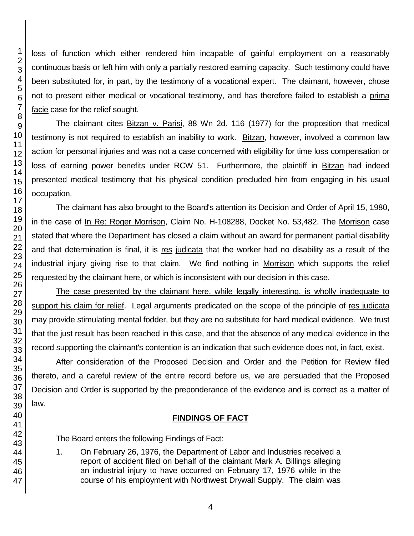loss of function which either rendered him incapable of gainful employment on a reasonably continuous basis or left him with only a partially restored earning capacity. Such testimony could have been substituted for, in part, by the testimony of a vocational expert. The claimant, however, chose not to present either medical or vocational testimony, and has therefore failed to establish a prima facie case for the relief sought.

The claimant cites Bitzan v. Parisi, 88 Wn 2d. 116 (1977) for the proposition that medical testimony is not required to establish an inability to work. Bitzan, however, involved a common law action for personal injuries and was not a case concerned with eligibility for time loss compensation or loss of earning power benefits under RCW 51. Furthermore, the plaintiff in Bitzan had indeed presented medical testimony that his physical condition precluded him from engaging in his usual occupation.

The claimant has also brought to the Board's attention its Decision and Order of April 15, 1980, in the case of In Re: Roger Morrison, Claim No. H-108288, Docket No. 53,482. The Morrison case stated that where the Department has closed a claim without an award for permanent partial disability and that determination is final, it is res judicata that the worker had no disability as a result of the industrial injury giving rise to that claim. We find nothing in Morrison which supports the relief requested by the claimant here, or which is inconsistent with our decision in this case.

The case presented by the claimant here, while legally interesting, is wholly inadequate to support his claim for relief. Legal arguments predicated on the scope of the principle of res judicata may provide stimulating mental fodder, but they are no substitute for hard medical evidence. We trust that the just result has been reached in this case, and that the absence of any medical evidence in the record supporting the claimant's contention is an indication that such evidence does not, in fact, exist.

After consideration of the Proposed Decision and Order and the Petition for Review filed thereto, and a careful review of the entire record before us, we are persuaded that the Proposed Decision and Order is supported by the preponderance of the evidence and is correct as a matter of law.

## **FINDINGS OF FACT**

The Board enters the following Findings of Fact:

1. On February 26, 1976, the Department of Labor and Industries received a report of accident filed on behalf of the claimant Mark A. Billings alleging an industrial injury to have occurred on February 17, 1976 while in the course of his employment with Northwest Drywall Supply. The claim was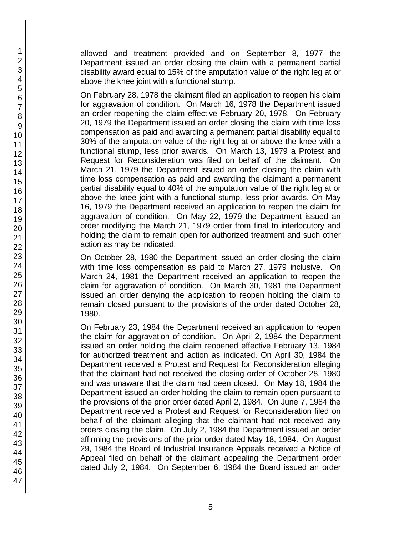allowed and treatment provided and on September 8, 1977 the Department issued an order closing the claim with a permanent partial disability award equal to 15% of the amputation value of the right leg at or above the knee joint with a functional stump.

On February 28, 1978 the claimant filed an application to reopen his claim for aggravation of condition. On March 16, 1978 the Department issued an order reopening the claim effective February 20, 1978. On February 20, 1979 the Department issued an order closing the claim with time loss compensation as paid and awarding a permanent partial disability equal to 30% of the amputation value of the right leg at or above the knee with a functional stump, less prior awards. On March 13, 1979 a Protest and Request for Reconsideration was filed on behalf of the claimant. On March 21, 1979 the Department issued an order closing the claim with time loss compensation as paid and awarding the claimant a permanent partial disability equal to 40% of the amputation value of the right leg at or above the knee joint with a functional stump, less prior awards. On May 16, 1979 the Department received an application to reopen the claim for aggravation of condition. On May 22, 1979 the Department issued an order modifying the March 21, 1979 order from final to interlocutory and holding the claim to remain open for authorized treatment and such other action as may be indicated.

On October 28, 1980 the Department issued an order closing the claim with time loss compensation as paid to March 27, 1979 inclusive. On March 24, 1981 the Department received an application to reopen the claim for aggravation of condition. On March 30, 1981 the Department issued an order denying the application to reopen holding the claim to remain closed pursuant to the provisions of the order dated October 28, 1980.

On February 23, 1984 the Department received an application to reopen the claim for aggravation of condition. On April 2, 1984 the Department issued an order holding the claim reopened effective February 13, 1984 for authorized treatment and action as indicated. On April 30, 1984 the Department received a Protest and Request for Reconsideration alleging that the claimant had not received the closing order of October 28, 1980 and was unaware that the claim had been closed. On May 18, 1984 the Department issued an order holding the claim to remain open pursuant to the provisions of the prior order dated April 2, 1984. On June 7, 1984 the Department received a Protest and Request for Reconsideration filed on behalf of the claimant alleging that the claimant had not received any orders closing the claim. On July 2, 1984 the Department issued an order affirming the provisions of the prior order dated May 18, 1984. On August 29, 1984 the Board of Industrial Insurance Appeals received a Notice of Appeal filed on behalf of the claimant appealing the Department order dated July 2, 1984. On September 6, 1984 the Board issued an order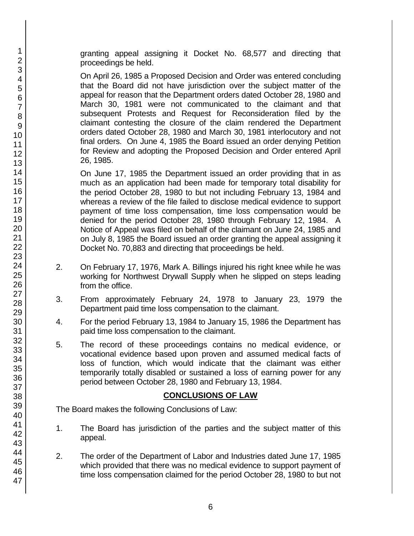granting appeal assigning it Docket No. 68,577 and directing that proceedings be held.

On April 26, 1985 a Proposed Decision and Order was entered concluding that the Board did not have jurisdiction over the subject matter of the appeal for reason that the Department orders dated October 28, 1980 and March 30, 1981 were not communicated to the claimant and that subsequent Protests and Request for Reconsideration filed by the claimant contesting the closure of the claim rendered the Department orders dated October 28, 1980 and March 30, 1981 interlocutory and not final orders. On June 4, 1985 the Board issued an order denying Petition for Review and adopting the Proposed Decision and Order entered April 26, 1985.

On June 17, 1985 the Department issued an order providing that in as much as an application had been made for temporary total disability for the period October 28, 1980 to but not including February 13, 1984 and whereas a review of the file failed to disclose medical evidence to support payment of time loss compensation, time loss compensation would be denied for the period October 28, 1980 through February 12, 1984. A Notice of Appeal was filed on behalf of the claimant on June 24, 1985 and on July 8, 1985 the Board issued an order granting the appeal assigning it Docket No. 70,883 and directing that proceedings be held.

- 2. On February 17, 1976, Mark A. Billings injured his right knee while he was working for Northwest Drywall Supply when he slipped on steps leading from the office.
- 3. From approximately February 24, 1978 to January 23, 1979 the Department paid time loss compensation to the claimant.
- 4. For the period February 13, 1984 to January 15, 1986 the Department has paid time loss compensation to the claimant.
- 5. The record of these proceedings contains no medical evidence, or vocational evidence based upon proven and assumed medical facts of loss of function, which would indicate that the claimant was either temporarily totally disabled or sustained a loss of earning power for any period between October 28, 1980 and February 13, 1984.

### **CONCLUSIONS OF LAW**

The Board makes the following Conclusions of Law:

- 1. The Board has jurisdiction of the parties and the subject matter of this appeal.
- 2. The order of the Department of Labor and Industries dated June 17, 1985 which provided that there was no medical evidence to support payment of time loss compensation claimed for the period October 28, 1980 to but not

47